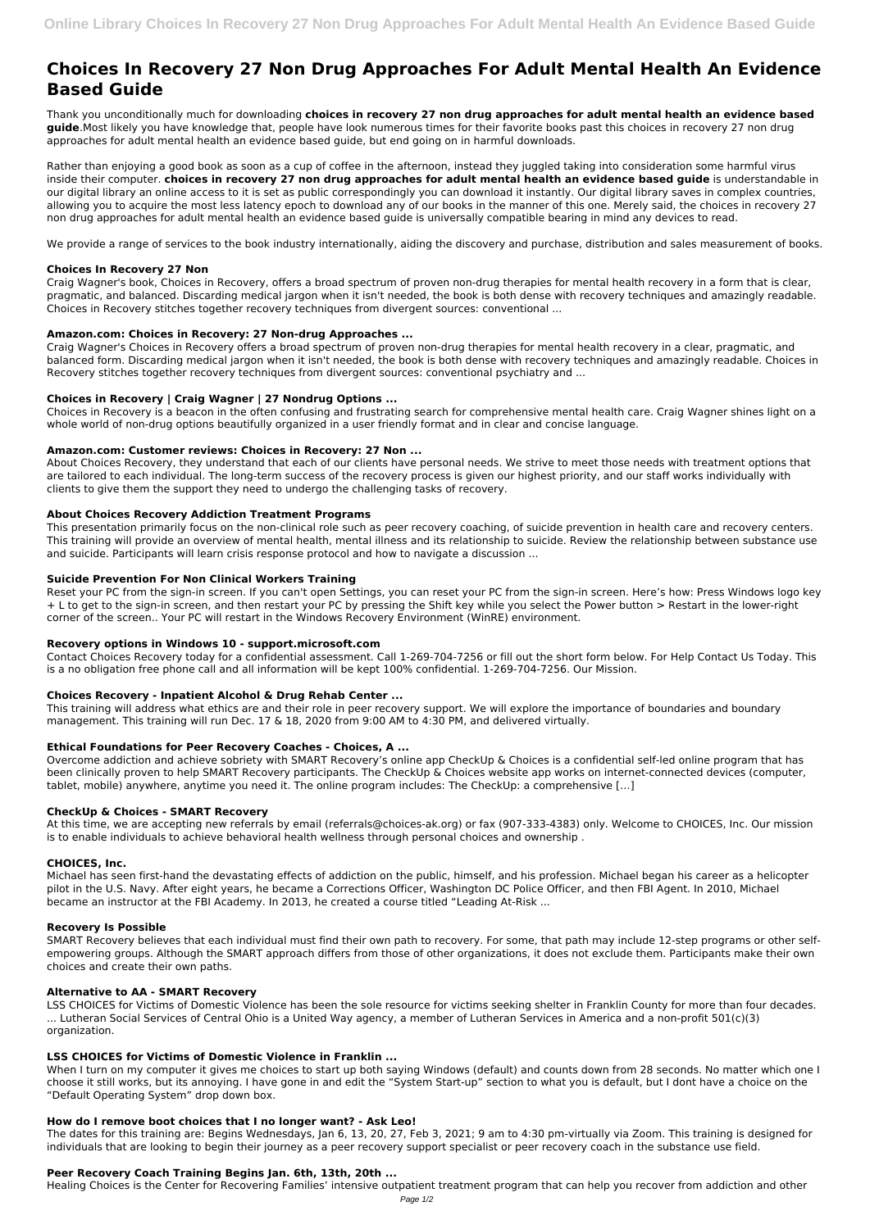# **Choices In Recovery 27 Non Drug Approaches For Adult Mental Health An Evidence Based Guide**

Thank you unconditionally much for downloading **choices in recovery 27 non drug approaches for adult mental health an evidence based guide**.Most likely you have knowledge that, people have look numerous times for their favorite books past this choices in recovery 27 non drug approaches for adult mental health an evidence based guide, but end going on in harmful downloads.

Rather than enjoying a good book as soon as a cup of coffee in the afternoon, instead they juggled taking into consideration some harmful virus inside their computer. **choices in recovery 27 non drug approaches for adult mental health an evidence based guide** is understandable in our digital library an online access to it is set as public correspondingly you can download it instantly. Our digital library saves in complex countries, allowing you to acquire the most less latency epoch to download any of our books in the manner of this one. Merely said, the choices in recovery 27 non drug approaches for adult mental health an evidence based guide is universally compatible bearing in mind any devices to read.

We provide a range of services to the book industry internationally, aiding the discovery and purchase, distribution and sales measurement of books.

# **Choices In Recovery 27 Non**

Craig Wagner's book, Choices in Recovery, offers a broad spectrum of proven non-drug therapies for mental health recovery in a form that is clear, pragmatic, and balanced. Discarding medical jargon when it isn't needed, the book is both dense with recovery techniques and amazingly readable. Choices in Recovery stitches together recovery techniques from divergent sources: conventional ...

# **Amazon.com: Choices in Recovery: 27 Non-drug Approaches ...**

Craig Wagner's Choices in Recovery offers a broad spectrum of proven non-drug therapies for mental health recovery in a clear, pragmatic, and balanced form. Discarding medical jargon when it isn't needed, the book is both dense with recovery techniques and amazingly readable. Choices in Recovery stitches together recovery techniques from divergent sources: conventional psychiatry and ...

# **Choices in Recovery | Craig Wagner | 27 Nondrug Options ...**

Choices in Recovery is a beacon in the often confusing and frustrating search for comprehensive mental health care. Craig Wagner shines light on a whole world of non-drug options beautifully organized in a user friendly format and in clear and concise language.

# **Amazon.com: Customer reviews: Choices in Recovery: 27 Non ...**

About Choices Recovery, they understand that each of our clients have personal needs. We strive to meet those needs with treatment options that are tailored to each individual. The long-term success of the recovery process is given our highest priority, and our staff works individually with clients to give them the support they need to undergo the challenging tasks of recovery.

# **About Choices Recovery Addiction Treatment Programs**

This presentation primarily focus on the non-clinical role such as peer recovery coaching, of suicide prevention in health care and recovery centers. This training will provide an overview of mental health, mental illness and its relationship to suicide. Review the relationship between substance use and suicide. Participants will learn crisis response protocol and how to navigate a discussion ...

When I turn on my computer it gives me choices to start up both saying Windows (default) and counts down from 28 seconds. No matter which one I choose it still works, but its annoying. I have gone in and edit the "System Start-up" section to what you is default, but I dont have a choice on the "Default Operating System" drop down box.

# **Suicide Prevention For Non Clinical Workers Training**

Reset your PC from the sign-in screen. If you can't open Settings, you can reset your PC from the sign-in screen. Here's how: Press Windows logo key + L to get to the sign-in screen, and then restart your PC by pressing the Shift key while you select the Power button > Restart in the lower-right corner of the screen.. Your PC will restart in the Windows Recovery Environment (WinRE) environment.

# **Recovery options in Windows 10 - support.microsoft.com**

Contact Choices Recovery today for a confidential assessment. Call 1-269-704-7256 or fill out the short form below. For Help Contact Us Today. This is a no obligation free phone call and all information will be kept 100% confidential. 1-269-704-7256. Our Mission.

# **Choices Recovery - Inpatient Alcohol & Drug Rehab Center ...**

This training will address what ethics are and their role in peer recovery support. We will explore the importance of boundaries and boundary management. This training will run Dec. 17 & 18, 2020 from 9:00 AM to 4:30 PM, and delivered virtually.

# **Ethical Foundations for Peer Recovery Coaches - Choices, A ...**

Overcome addiction and achieve sobriety with SMART Recovery's online app CheckUp & Choices is a confidential self-led online program that has been clinically proven to help SMART Recovery participants. The CheckUp & Choices website app works on internet-connected devices (computer, tablet, mobile) anywhere, anytime you need it. The online program includes: The CheckUp: a comprehensive […]

# **CheckUp & Choices - SMART Recovery**

At this time, we are accepting new referrals by email (referrals@choices-ak.org) or fax (907-333-4383) only. Welcome to CHOICES, Inc. Our mission is to enable individuals to achieve behavioral health wellness through personal choices and ownership .

# **CHOICES, Inc.**

Michael has seen first-hand the devastating effects of addiction on the public, himself, and his profession. Michael began his career as a helicopter pilot in the U.S. Navy. After eight years, he became a Corrections Officer, Washington DC Police Officer, and then FBI Agent. In 2010, Michael became an instructor at the FBI Academy. In 2013, he created a course titled "Leading At-Risk ...

#### **Recovery Is Possible**

SMART Recovery believes that each individual must find their own path to recovery. For some, that path may include 12-step programs or other selfempowering groups. Although the SMART approach differs from those of other organizations, it does not exclude them. Participants make their own choices and create their own paths.

#### **Alternative to AA - SMART Recovery**

LSS CHOICES for Victims of Domestic Violence has been the sole resource for victims seeking shelter in Franklin County for more than four decades. ... Lutheran Social Services of Central Ohio is a United Way agency, a member of Lutheran Services in America and a non-profit 501(c)(3) organization.

### **LSS CHOICES for Victims of Domestic Violence in Franklin ...**

# **How do I remove boot choices that I no longer want? - Ask Leo!**

The dates for this training are: Begins Wednesdays, Jan 6, 13, 20, 27, Feb 3, 2021; 9 am to 4:30 pm-virtually via Zoom. This training is designed for individuals that are looking to begin their journey as a peer recovery support specialist or peer recovery coach in the substance use field.

# **Peer Recovery Coach Training Begins Jan. 6th, 13th, 20th ...**

Healing Choices is the Center for Recovering Families' intensive outpatient treatment program that can help you recover from addiction and other